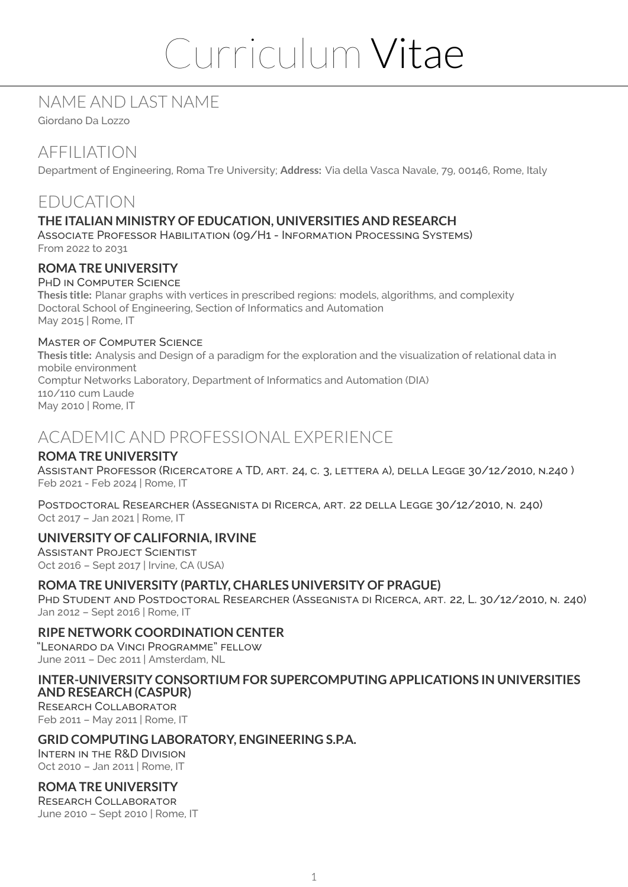# Curriculum Vitae

# NAME AND LAST NAME

Giordano Da Lozzo

# AFFILIATION

Department of Engineering, Roma Tre University; **Address:** Via della Vasca Navale, 79, 00146, Rome, Italy

# EDUCATION

### **THE ITALIAN MINISTRY OF EDUCATION, UNIVERSITIES AND RESEARCH**

Associate Professor Habilitation (09/H1 - Information Processing Systems) From 2022 to 2031

#### **ROMA TRE UNIVERSITY**

#### PHD IN COMPUTER SCIENCE

**Thesis title:** Planar graphs with vertices in prescribed regions: models, algorithms, and complexity Doctoral School of Engineering, Section of Informatics and Automation May 2015 | Rome, IT

#### Master of Computer Science

**Thesis title:** Analysis and Design of a paradigm for the exploration and the visualization of relational data in mobile environment Comptur Networks Laboratory, Department of Informatics and Automation (DIA) 110/110 cum Laude May 2010 | Rome, IT

# ACADEMIC AND PROFESSIONAL EXPERIENCE

#### **ROMA TRE UNIVERSITY**

Assistant Professor (Ricercatore a TD, art. 24, c. 3, lettera a), della Legge 30/12/2010, n.240 ) Feb 2021 - Feb 2024 | Rome, IT

Postdoctoral Researcher (Assegnista di Ricerca, art. 22 della Legge 30/12/2010, n. 240) Oct 2017 – Jan 2021 | Rome, IT

#### **UNIVERSITY OF CALIFORNIA, IRVINE**

Assistant Project Scientist Oct 2016 – Sept 2017 | Irvine, CA (USA)

#### **ROMA TRE UNIVERSITY (PARTLY, CHARLES UNIVERSITY OF PRAGUE)**

Phd Student and Postdoctoral Researcher (Assegnista di Ricerca, art. 22, L. 30/12/2010, n. 240) Jan 2012 – Sept 2016 | Rome, IT

#### **RIPE NETWORK COORDINATION CENTER**

"Leonardo da Vinci Programme" fellow June 2011 – Dec 2011 | Amsterdam, NL

#### **INTER-UNIVERSITY CONSORTIUM FOR SUPERCOMPUTING APPLICATIONS IN UNIVERSITIES AND RESEARCH (CASPUR)**

Research Collaborator Feb 2011 – May 2011 | Rome, IT

#### **GRID COMPUTING LABORATORY, ENGINEERING S.P.A.**

Intern in the R&D Division Oct 2010 – Jan 2011 | Rome, IT

#### **ROMA TRE UNIVERSITY**

Research Collaborator June 2010 – Sept 2010 | Rome, IT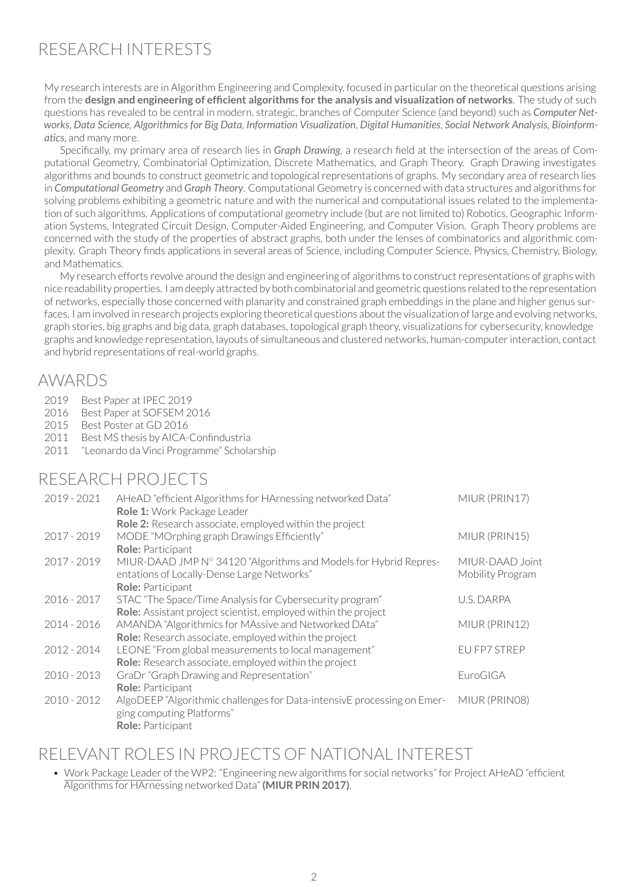# RESEARCH INTERESTS

My research interests are in Algorithm Engineering and Complexity, focused in particular on the theoretical questions arising from the **design and engineering of efficient algorithms for the analysis and visualization of networks**. The study of such questions has revealed to be central in modern, strategic, branches of Computer Science (and beyond) such as *Computer Networks*, *Data Science*, *Algorithmics for Big Data*, *Information Visualization*, *Digital Humanities*, *Social Network Analysis*, *Bioinformatics*, and many more.

Specifically, my primary area of research lies in *Graph Drawing*, a research field at the intersection of the areas of Computational Geometry, Combinatorial Optimization, Discrete Mathematics, and Graph Theory. Graph Drawing investigates algorithms and bounds to construct geometric and topological representations of graphs. My secondary area of research lies in *Computational Geometry* and *Graph Theory*. Computational Geometry is concerned with data structures and algorithms for solving problems exhibiting a geometric nature and with the numerical and computational issues related to the implementation of such algorithms. Applications of computational geometry include (but are not limited to) Robotics, Geographic Information Systems, Integrated Circuit Design, Computer-Aided Engineering, and Computer Vision. Graph Theory problems are concerned with the study of the properties of abstract graphs, both under the lenses of combinatorics and algorithmic complexity. Graph Theory finds applications in several areas of Science, including Computer Science, Physics, Chemistry, Biology, and Mathematics.

My research efforts revolve around the design and engineering of algorithms to construct representations of graphs with nice readability properties. I am deeply attracted by both combinatorial and geometric questions related to the representation of networks, especially those concerned with planarity and constrained graph embeddings in the plane and higher genus surfaces. I am involved in research projects exploring theoretical questions about the visualization of large and evolving networks, graph stories, big graphs and big data, graph databases, topological graph theory, visualizations for cybersecurity, knowledge graphs and knowledge representation, layouts of simultaneous and clustered networks, human-computerinteraction, contact and hybrid representations of real-world graphs.

## AWARDS

- 2019 Best Paper at IPEC 2019
- 2016 Best Paper at SOESEM 2016
- 2015 Best Poster at GD 2016
- 2011 Best MS thesis by AICA-Confindustria
- 2011 "Leonardo da Vinci Programme" Scholarship

## RESEARCH PROJECTS

| $2019 - 2021$ | AHeAD "efficient Algorithms for HArnessing networked Data"<br>Role 1: Work Package Leader | MIUR (PRIN17)    |
|---------------|-------------------------------------------------------------------------------------------|------------------|
|               | Role 2: Research associate, employed within the project                                   |                  |
| 2017 - 2019   | MODE "MOrphing graph Drawings Efficiently"                                                | MIUR (PRIN15)    |
|               | Role: Participant                                                                         |                  |
| 2017 - 2019   | MIUR-DAAD JMP N° 34120 "Algorithms and Models for Hybrid Repres-                          | MIUR-DAAD Joint  |
|               | entations of Locally-Dense Large Networks"                                                | Mobility Program |
|               | Role: Participant                                                                         |                  |
| $2016 - 2017$ | STAC "The Space/Time Analysis for Cybersecurity program"                                  | U.S. DARPA       |
|               | <b>Role:</b> Assistant project scientist, employed within the project                     |                  |
| 2014 - 2016   | AMANDA "Algorithmics for MAssive and Networked DAta"                                      | MIUR (PRIN12)    |
|               | <b>Role:</b> Research associate, employed within the project                              |                  |
| 2012 - 2014   | LEONE "From global measurements to local management"                                      | EU FP7 STREP     |
|               | <b>Role:</b> Research associate, employed within the project                              |                  |
| $2010 - 2013$ | GraDr "Graph Drawing and Representation"                                                  | EuroGIGA         |
|               | Role: Participant                                                                         |                  |
| $2010 - 2012$ | AlgoDEEP "Algorithmic challenges for Data-intensivE processing on Emer-                   | MIUR (PRINO8)    |
|               | ging computing Platforms"                                                                 |                  |
|               | Role: Participant                                                                         |                  |

# RELEVANT ROLES IN PROJECTS OF NATIONAL INTEREST

• Work Package Leader of the WP2: "Engineering new algorithms for social networks" for Project AHeAD "efficient Algorithms for HArnessing networked Data" **(MIUR PRIN 2017)**.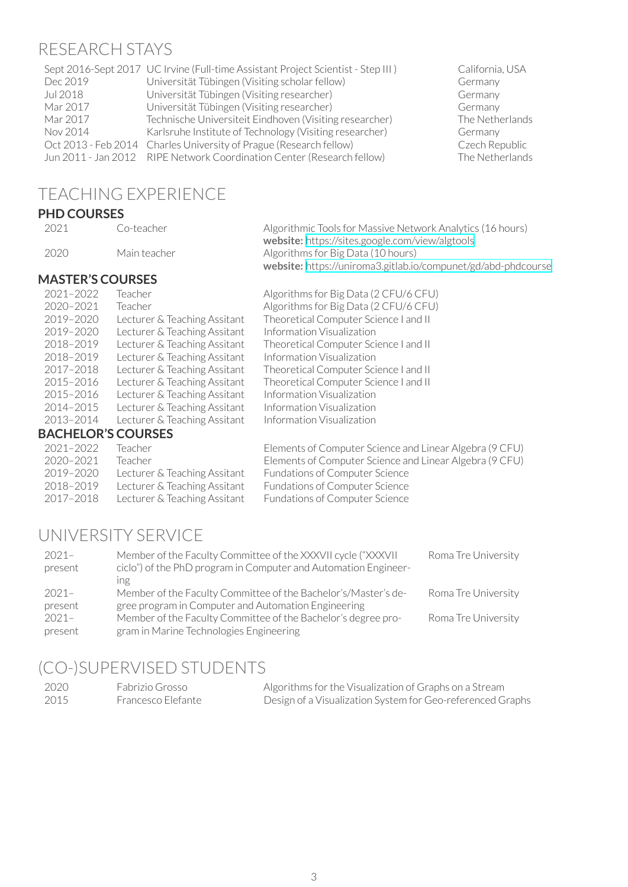#### RESEARCH STAYS

|          | Sept 2016-Sept 2017 UC Irvine (Full-time Assistant Project Scientist - Step III) | California |
|----------|----------------------------------------------------------------------------------|------------|
| Dec 2019 | Universität Tübingen (Visiting scholar fellow)                                   | Germany    |
| Jul 2018 | Universität Tübingen (Visiting researcher)                                       | Germany    |
| Mar 2017 | Universität Tübingen (Visiting researcher)                                       | Germany    |
| Mar 2017 | Technische Universiteit Eindhoven (Visiting researcher)                          | The Neth   |
| Nov 2014 | Karlsruhe Institute of Technology (Visiting researcher)                          | Germany    |
|          | Oct 2013 - Feb 2014 Charles University of Prague (Research fellow)               | Czech Re   |
|          | Jun 2011 - Jan 2012 RIPE Network Coordination Center (Research fellow)           | The Neth   |
|          |                                                                                  |            |

California, USA<br>Germany The Netherlands<br>Germany Czech Republic The Netherlands

# TEACHING EXPERIENCE

#### **PHD COURSES**

| 2021 | Co-teacher   | Algorithmic Tools for Massive Network Analytics (16 hours)           |
|------|--------------|----------------------------------------------------------------------|
|      |              | <b>website:</b> https://sites.google.com/view/algtools               |
| 2020 | Main teacher | Algorithms for Big Data (10 hours)                                   |
|      |              | <b>website:</b> https://uniroma3.gitlab.io/compunet/gd/abd-phdcourse |
|      |              |                                                                      |

#### **MASTER'S COURSES**

| 2021-2022                 | Teacher                      | Algorithms for Big Data (2 CFU/6 CFU)                   |
|---------------------------|------------------------------|---------------------------------------------------------|
| 2020-2021                 | Teacher                      | Algorithms for Big Data (2 CFU/6 CFU)                   |
| 2019-2020                 | Lecturer & Teaching Assitant | Theoretical Computer Science I and II                   |
| 2019-2020                 | Lecturer & Teaching Assitant | Information Visualization                               |
| 2018-2019                 | Lecturer & Teaching Assitant | Theoretical Computer Science I and II                   |
| 2018-2019                 | Lecturer & Teaching Assitant | Information Visualization                               |
| 2017-2018                 | Lecturer & Teaching Assitant | Theoretical Computer Science I and II                   |
| 2015-2016                 | Lecturer & Teaching Assitant | Theoretical Computer Science I and II                   |
| 2015-2016                 | Lecturer & Teaching Assitant | Information Visualization                               |
| 2014-2015                 | Lecturer & Teaching Assitant | Information Visualization                               |
| 2013-2014                 | Lecturer & Teaching Assitant | Information Visualization                               |
| <b>BACHELOR'S COURSES</b> |                              |                                                         |
| 2021-2022                 | Teacher                      | Elements of Computer Science and Linear Algebra (9 CFU) |

| - 2021–2022 | Teacher i                    | Elements of Computer Science and Linear Algebra (9 CFU) |
|-------------|------------------------------|---------------------------------------------------------|
| 2020-2021   | Teacher                      | Elements of Computer Science and Linear Algebra (9 CFU) |
| 2019-2020   | Lecturer & Teaching Assitant | Fundations of Computer Science                          |
| 2018-2019   | Lecturer & Teaching Assitant | Fundations of Computer Science                          |
| 2017-2018   | Lecturer & Teaching Assitant | Fundations of Computer Science                          |
|             |                              |                                                         |

# UNIVERSITY SERVICE

| $2021-$<br>present | Member of the Faculty Committee of the XXXVII cycle ("XXXVII<br>ciclo") of the PhD program in Computer and Automation Engineer- | Roma Tre University |
|--------------------|---------------------------------------------------------------------------------------------------------------------------------|---------------------|
|                    | Ing                                                                                                                             |                     |
| $2021-$            | Member of the Faculty Committee of the Bachelor's/Master's de-                                                                  | Roma Tre University |
| present            | gree program in Computer and Automation Engineering                                                                             |                     |
| $2021-$            | Member of the Faculty Committee of the Bachelor's degree pro-                                                                   | Roma Tre University |
| present            | gram in Marine Technologies Engineering                                                                                         |                     |

# (CO-)SUPERVISED STUDENTS

| 2020 | Fabrizio Grosso    | Algorithms for the Visualization of Graphs on a Stream     |
|------|--------------------|------------------------------------------------------------|
| 2015 | Francesco Elefante | Design of a Visualization System for Geo-referenced Graphs |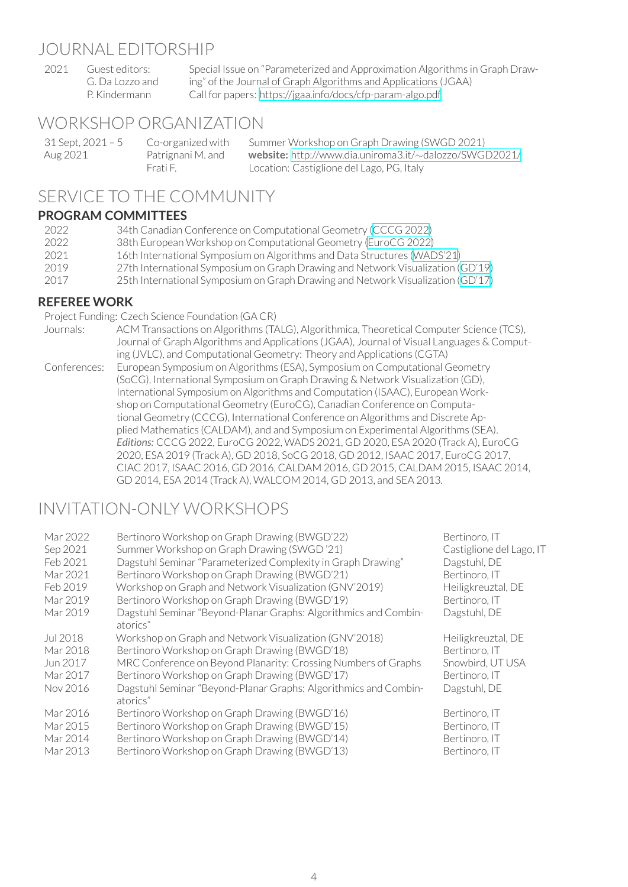#### JOURNAL EDITORSHIP

2021 Guest editors: G. Da Lozzo and P. Kindermann Special Issue on "Parameterized and Approximation Algorithms in Graph Drawing" of the Journal of Graph Algorithms and Applications (JGAA) Call for papers: https://jgaa.info/docs/cfp-param-algo.pdf

# WORKSHOP ORGANIZATION

| 31 Sept, 2021 – 5 | Co-organized with | Summer Workshop on Graph Drawing (SWGD 2021)                         |
|-------------------|-------------------|----------------------------------------------------------------------|
| Aug 2021          | Patrignani M. and | <b>website:</b> http://www.dia.uniroma3.it/ $\sim$ dalozzo/SWGD2021/ |
|                   | Frati F.          | Location: Castiglione del Lago, PG, Italy                            |

# SERVICE TO THE COMMUNITY

### **PROGRAM COMMITTEES**

| 2022  | 34th Canadian Conference on Computational Geometry (CCCG 2022)                  |
|-------|---------------------------------------------------------------------------------|
| 2022  | 38th European Workshop on Computational Geometry (EuroCG 2022)                  |
| -2021 | 16th International Symposium on Algorithms and Data Structures (WADS'21)        |
| 2019  | 27th International Symposium on Graph Drawing and Network Visualization (GD'19) |
| 2017  | 25th International Symposium on Graph Drawing and Network Visualization (GD'17) |
|       |                                                                                 |

#### **REFEREE WORK**

Project Funding: Czech Science Foundation (GA CR)

| Journals:    | ACM Transactions on Algorithms (TALG), Algorithmica, Theoretical Computer Science (TCS),   |
|--------------|--------------------------------------------------------------------------------------------|
|              | Journal of Graph Algorithms and Applications (JGAA), Journal of Visual Languages & Comput- |
|              | ing (JVLC), and Computational Geometry: Theory and Applications (CGTA)                     |
| Conferences: | European Symposium on Algorithms (ESA), Symposium on Computational Geometry                |
|              | (SoCG), International Symposium on Graph Drawing & Network Visualization (GD),             |
|              | International Symposium on Algorithms and Computation (ISAAC), European Work-              |
|              | shop on Computational Geometry (EuroCG), Canadian Conference on Computa-                   |
|              | tional Geometry (CCCG), International Conference on Algorithms and Discrete Ap-            |
|              | plied Mathematics (CALDAM), and and Symposium on Experimental Algorithms (SEA).            |
|              | Editions: CCCG 2022, EuroCG 2022, WADS 2021, GD 2020, ESA 2020 (Track A), EuroCG           |
|              | 2020, ESA 2019 (Track A), GD 2018, SoCG 2018, GD 2012, ISAAC 2017, EuroCG 2017,            |
|              | CIAC 2017, ISAAC 2016, GD 2016, CALDAM 2016, GD 2015, CALDAM 2015, ISAAC 2014,             |
|              | GD 2014, ESA 2014 (Track A), WALCOM 2014, GD 2013, and SEA 2013.                           |

# INVITATION-ONLY WORKSHOPS

| Mar 2022<br>Sep 2021<br>Feb 2021<br>Mar 2021<br>Feb 2019<br>Mar 2019<br>Mar 2019 | Bertinoro Workshop on Graph Drawing (BWGD'22)<br>Summer Workshop on Graph Drawing (SWGD '21)<br>Dagstuhl Seminar "Parameterized Complexity in Graph Drawing"<br>Bertinoro Workshop on Graph Drawing (BWGD'21)<br>Workshop on Graph and Network Visualization (GNV'2019)<br>Bertinoro Workshop on Graph Drawing (BWGD'19)<br>Dagstuhl Seminar "Beyond-Planar Graphs: Algorithmics and Combin-<br>atorics" | Bertinoro, IT<br>Castiglione del Lago, IT<br>Dagstuhl, DE<br>Bertinoro, IT<br>Heiligkreuztal, DE<br>Bertinoro. IT<br>Dagstuhl, DE |
|----------------------------------------------------------------------------------|----------------------------------------------------------------------------------------------------------------------------------------------------------------------------------------------------------------------------------------------------------------------------------------------------------------------------------------------------------------------------------------------------------|-----------------------------------------------------------------------------------------------------------------------------------|
| Jul 2018                                                                         | Workshop on Graph and Network Visualization (GNV'2018)                                                                                                                                                                                                                                                                                                                                                   | Heiligkreuztal, DE                                                                                                                |
| Mar 2018                                                                         | Bertinoro Workshop on Graph Drawing (BWGD'18)                                                                                                                                                                                                                                                                                                                                                            | Bertinoro, IT                                                                                                                     |
| Jun 2017                                                                         | MRC Conference on Beyond Planarity: Crossing Numbers of Graphs                                                                                                                                                                                                                                                                                                                                           | Snowbird, UT USA                                                                                                                  |
| Mar 2017                                                                         | Bertinoro Workshop on Graph Drawing (BWGD'17)                                                                                                                                                                                                                                                                                                                                                            | Bertinoro, IT                                                                                                                     |
| Nov 2016                                                                         | Dagstuhl Seminar "Beyond-Planar Graphs: Algorithmics and Combin-                                                                                                                                                                                                                                                                                                                                         | Dagstuhl, DE                                                                                                                      |
| Mar 2016<br>Mar 2015<br>Mar 2014<br>Mar 2013                                     | atorics"<br>Bertinoro Workshop on Graph Drawing (BWGD'16)<br>Bertinoro Workshop on Graph Drawing (BWGD'15)<br>Bertinoro Workshop on Graph Drawing (BWGD'14)<br>Bertinoro Workshop on Graph Drawing (BWGD'13)                                                                                                                                                                                             | Bertinoro, IT<br>Bertinoro, IT<br>Bertinoro, IT<br>Bertinoro. IT                                                                  |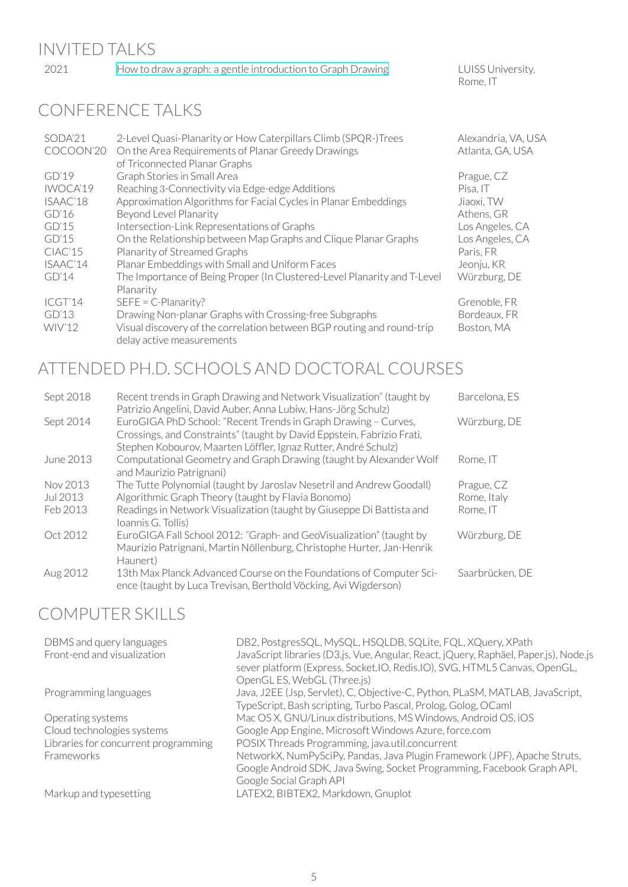| 2021      | How to draw a graph: a gentle introduction to Graph Drawing                           | LUISS University,<br>Rome, IT |
|-----------|---------------------------------------------------------------------------------------|-------------------------------|
|           | <b>CONFERENCE TALKS</b>                                                               |                               |
| SODA'21   | 2-Level Quasi-Planarity or How Caterpillars Climb (SPQR-)Trees                        | Alexandria, VA, USA           |
| COCOON'20 | On the Area Requirements of Planar Greedy Drawings<br>of Triconnected Planar Graphs   | Atlanta, GA, USA              |
| GD'19     | Graph Stories in Small Area                                                           | Prague, CZ                    |
| IWOCA'19  | Reaching 3-Connectivity via Edge-edge Additions                                       | Pisa, IT                      |
| ISAAC'18  | Approximation Algorithms for Facial Cycles in Planar Embeddings                       | Jiaoxi, TW                    |
| GD'16     | Beyond Level Planarity                                                                | Athens, GR                    |
| GD'15     | Intersection-Link Representations of Graphs                                           | Los Angeles, CA               |
| GD'15     | On the Relationship between Map Graphs and Clique Planar Graphs                       | Los Angeles, CA               |
| CIAC'15   | Planarity of Streamed Graphs                                                          | Paris, FR                     |
| ISAAC'14  | Planar Embeddings with Small and Uniform Faces                                        | Jeonju, KR                    |
| GD'14     | The Importance of Being Proper (In Clustered-Level Planarity and T-Level<br>Planarity | Würzburg, DE                  |
| ICGT'14   | SEFE = C-Planarity?                                                                   | Grenoble, FR                  |

GD'13 Drawing Non-planar Graphs with Crossing-free Subgraphs Bordeaux, FR<br>WIV'12 Visual discovery of the correlation between BGP routing and round-trip Boston, MA Visual discovery of the correlation between BGP routing and round-trip delay active measurements Boston, MA

# ATTENDED PH.D. SCHOOLS AND DOCTORAL COURSES

| Sept 2018 | Recent trends in Graph Drawing and Network Visualization" (taught by<br>Patrizio Angelini, David Auber, Anna Lubiw, Hans-Jörg Schulz)                                                                      | Barcelona, ES   |
|-----------|------------------------------------------------------------------------------------------------------------------------------------------------------------------------------------------------------------|-----------------|
| Sept 2014 | EuroGIGA PhD School: "Recent Trends in Graph Drawing - Curves,<br>Crossings, and Constraints" (taught by David Eppstein, Fabrizio Frati,<br>Stephen Kobourov, Maarten Löffler, Ignaz Rutter, André Schulz) | Würzburg, DE    |
| June 2013 | Computational Geometry and Graph Drawing (taught by Alexander Wolf<br>and Maurizio Patrignani)                                                                                                             | Rome, IT        |
| Nov 2013  | The Tutte Polynomial (taught by Jaroslav Nesetril and Andrew Goodall)                                                                                                                                      | Prague, CZ      |
| Jul 2013  | Algorithmic Graph Theory (taught by Flavia Bonomo)                                                                                                                                                         | Rome, Italy     |
| Feb 2013  | Readings in Network Visualization (taught by Giuseppe Di Battista and<br>Ioannis G. Tollis)                                                                                                                | Rome, IT        |
| Oct 2012  | EuroGIGA Fall School 2012: "Graph- and GeoVisualization" (taught by<br>Maurizio Patrignani, Martin Nöllenburg, Christophe Hurter, Jan-Henrik<br>Haunert)                                                   | Würzburg, DE    |
| Aug 2012  | 13th Max Planck Advanced Course on the Foundations of Computer Sci-<br>ence (taught by Luca Trevisan, Berthold Vöcking, Avi Wigderson)                                                                     | Saarbrücken, DE |

# COMPUTER SKILLS

| DBMS and query languages<br>Front-end and visualization                                               | DB2, PostgresSQL, MySQL, HSQLDB, SQLite, FQL, XQuery, XPath<br>JavaScript libraries (D3.js, Vue, Angular, React, jQuery, Raphäel, Paper.js), Node.js<br>sever platform (Express, Socket.IO, Redis.IO), SVG, HTML5 Canvas, OpenGL,<br>OpenGL ES, WebGL (Three.js)                                                                                              |
|-------------------------------------------------------------------------------------------------------|---------------------------------------------------------------------------------------------------------------------------------------------------------------------------------------------------------------------------------------------------------------------------------------------------------------------------------------------------------------|
| Programming languages                                                                                 | Java, J2EE (Jsp, Servlet), C, Objective-C, Python, PLaSM, MATLAB, JavaScript,<br>TypeScript, Bash scripting, Turbo Pascal, Prolog, Golog, OCaml                                                                                                                                                                                                               |
| Operating systems<br>Cloud technologies systems<br>Libraries for concurrent programming<br>Frameworks | Mac OS X, GNU/Linux distributions, MS Windows, Android OS, iOS<br>Google App Engine, Microsoft Windows Azure, force.com<br>POSIX Threads Programming, java.util.concurrent<br>NetworkX, NumPySciPy, Pandas, Java Plugin Framework (JPF), Apache Struts,<br>Google Android SDK, Java Swing, Socket Programming, Facebook Graph API,<br>Google Social Graph API |
| Markup and typesetting                                                                                | ATEX2, BIBTEX2, Markdown, Gnuplot                                                                                                                                                                                                                                                                                                                             |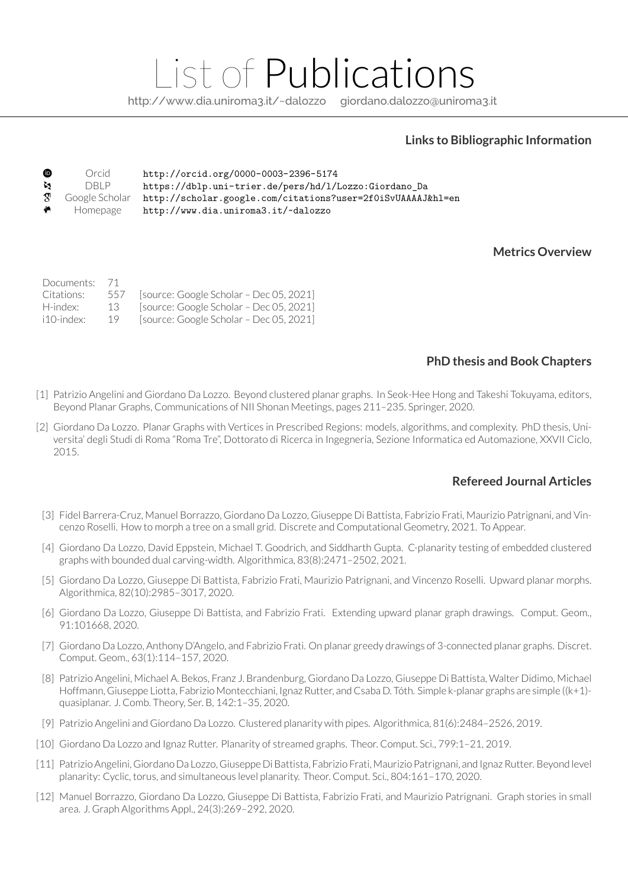# List of Publications

http://www.dia.uniroma3.it/~dalozzo giordano.dalozzo@uniroma3.it

#### **Links to Bibliographic Information**

| $\bullet$ | Orcid    | http://orcid.org/0000-0003-2396-5174                                                    |
|-----------|----------|-----------------------------------------------------------------------------------------|
| M.        | DBI P    | https://dblp.uni-trier.de/pers/hd/l/Lozzo:Giordano_Da                                   |
|           |          | <sup>T</sup> Google Scholar http://scholar.google.com/citations?user=2f0iSvUAAAAJ&hl=en |
| $\bullet$ | Homepage | http://www.dia.uniroma3.it/~dalozzo                                                     |

#### **Metrics Overview**

| Documents: 71<br>Citations:<br>H-index: | 557<br>13 | [source: Google Scholar - Dec 05, 2021]<br>[source: Google Scholar - Dec 05, 2021] |
|-----------------------------------------|-----------|------------------------------------------------------------------------------------|
| $i10$ -index:                           | 19        | [source: Google Scholar - Dec 05, 2021]                                            |

#### **PhD thesis and Book Chapters**

- [1] Patrizio Angelini and Giordano Da Lozzo. Beyond clustered planar graphs. In Seok-Hee Hong and Takeshi Tokuyama, editors, Beyond Planar Graphs, Communications of NII Shonan Meetings, pages 211–235. Springer, 2020.
- [2] Giordano Da Lozzo. Planar Graphs with Vertices in Prescribed Regions: models, algorithms, and complexity. PhD thesis, Universita' degli Studi di Roma "Roma Tre", Dottorato di Ricerca in Ingegneria, Sezione Informatica ed Automazione, XXVII Ciclo, 2015.

#### **Refereed Journal Articles**

- [3] Fidel Barrera-Cruz, Manuel Borrazzo, Giordano Da Lozzo, Giuseppe Di Battista, Fabrizio Frati, Maurizio Patrignani, and Vincenzo Roselli. How to morph a tree on a small grid. Discrete and Computational Geometry, 2021. To Appear.
- [4] Giordano Da Lozzo, David Eppstein, Michael T. Goodrich, and Siddharth Gupta. C-planarity testing of embedded clustered graphs with bounded dual carving-width. Algorithmica, 83(8):2471–2502, 2021.
- [5] Giordano Da Lozzo, Giuseppe Di Battista, Fabrizio Frati, Maurizio Patrignani, and Vincenzo Roselli. Upward planar morphs. Algorithmica, 82(10):2985–3017, 2020.
- [6] Giordano Da Lozzo, Giuseppe Di Battista, and Fabrizio Frati. Extending upward planar graph drawings. Comput. Geom., 91:101668, 2020.
- [7] Giordano Da Lozzo, Anthony D'Angelo, and Fabrizio Frati. On planar greedy drawings of 3-connected planar graphs. Discret. Comput. Geom., 63(1):114–157, 2020.
- [8] Patrizio Angelini, Michael A. Bekos, Franz J. Brandenburg, Giordano Da Lozzo, Giuseppe Di Battista, Walter Didimo, Michael Hoffmann, Giuseppe Liotta, Fabrizio Montecchiani, Ignaz Rutter, and Csaba D. Tóth. Simple k-planar graphs are simple ((k+1)quasiplanar. J. Comb. Theory, Ser. B, 142:1–35, 2020.
- [9] Patrizio Angelini and Giordano Da Lozzo. Clustered planarity with pipes. Algorithmica, 81(6):2484–2526, 2019.
- [10] Giordano Da Lozzo and Ignaz Rutter. Planarity of streamed graphs. Theor. Comput. Sci., 799:1–21, 2019.
- [11] Patrizio Angelini, Giordano Da Lozzo, Giuseppe Di Battista, Fabrizio Frati, Maurizio Patrignani, and Ignaz Rutter. Beyond level planarity: Cyclic, torus, and simultaneous level planarity. Theor. Comput. Sci., 804:161–170, 2020.
- [12] Manuel Borrazzo, Giordano Da Lozzo, Giuseppe Di Battista, Fabrizio Frati, and Maurizio Patrignani. Graph stories in small area. J. Graph Algorithms Appl., 24(3):269–292, 2020.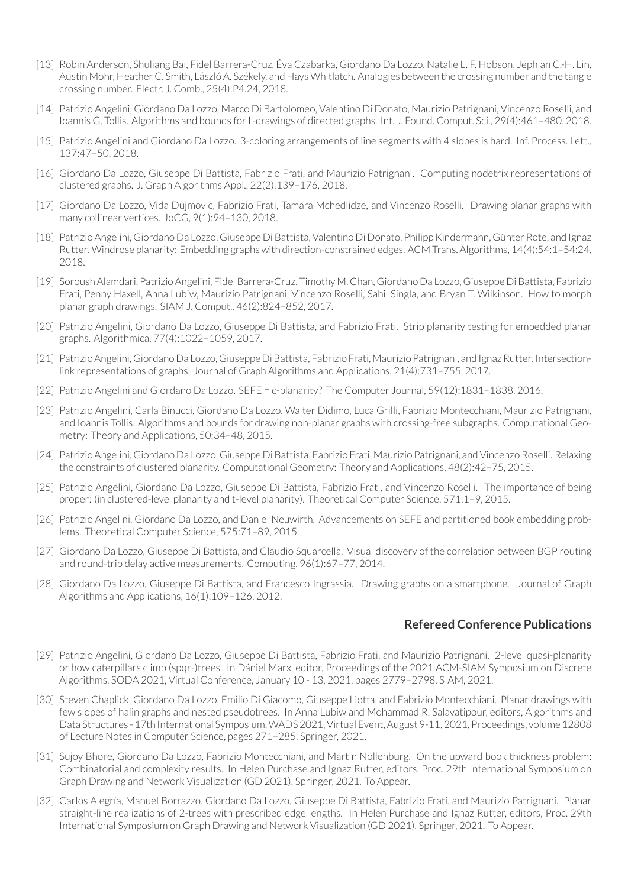- [13] Robin Anderson, Shuliang Bai, Fidel Barrera-Cruz, Éva Czabarka, Giordano Da Lozzo, Natalie L. F. Hobson, Jephian C.-H. Lin, Austin Mohr, Heather C. Smith, László A. Székely, and Hays Whitlatch. Analogies between the crossing number and the tangle crossing number. Electr. J. Comb., 25(4):P4.24, 2018.
- [14] Patrizio Angelini, Giordano Da Lozzo, Marco Di Bartolomeo, Valentino Di Donato, Maurizio Patrignani, Vincenzo Roselli, and Ioannis G. Tollis. Algorithms and bounds for L-drawings of directed graphs. Int. J. Found. Comput. Sci., 29(4):461–480, 2018.
- [15] Patrizio Angelini and Giordano Da Lozzo. 3-coloring arrangements of line segments with 4 slopes is hard. Inf. Process. Lett., 137:47–50, 2018.
- [16] Giordano Da Lozzo, Giuseppe Di Battista, Fabrizio Frati, and Maurizio Patrignani. Computing nodetrix representations of clustered graphs. J. Graph Algorithms Appl., 22(2):139–176, 2018.
- [17] Giordano Da Lozzo, Vida Dujmovic, Fabrizio Frati, Tamara Mchedlidze, and Vincenzo Roselli. Drawing planar graphs with many collinear vertices. JoCG, 9(1):94–130, 2018.
- [18] Patrizio Angelini, Giordano Da Lozzo, Giuseppe Di Battista, Valentino Di Donato, Philipp Kindermann, Günter Rote, and Ignaz Rutter. Windrose planarity: Embedding graphs with direction-constrained edges. ACM Trans.Algorithms, 14(4):54:1–54:24, 2018.
- [19] Soroush Alamdari, Patrizio Angelini, Fidel Barrera-Cruz, Timothy M. Chan, Giordano Da Lozzo, Giuseppe Di Battista, Fabrizio Frati, Penny Haxell, Anna Lubiw, Maurizio Patrignani, Vincenzo Roselli, Sahil Singla, and Bryan T. Wilkinson. How to morph planar graph drawings. SIAM J. Comput., 46(2):824–852, 2017.
- [20] Patrizio Angelini, Giordano Da Lozzo, Giuseppe Di Battista, and Fabrizio Frati. Strip planarity testing for embedded planar graphs. Algorithmica, 77(4):1022–1059, 2017.
- [21] Patrizio Angelini, Giordano Da Lozzo, Giuseppe Di Battista, Fabrizio Frati, Maurizio Patrignani, and Ignaz Rutter. Intersectionlink representations of graphs. Journal of Graph Algorithms and Applications, 21(4):731–755, 2017.
- [22] Patrizio Angelini and Giordano Da Lozzo. SEFE = c-planarity? The Computer Journal, 59(12):1831–1838, 2016.
- [23] Patrizio Angelini, Carla Binucci, Giordano Da Lozzo, Walter Didimo, Luca Grilli, Fabrizio Montecchiani, Maurizio Patrignani, and Ioannis Tollis. Algorithms and bounds for drawing non-planar graphs with crossing-free subgraphs. Computational Geometry: Theory and Applications, 50:34–48, 2015.
- [24] Patrizio Angelini, Giordano Da Lozzo, Giuseppe Di Battista, Fabrizio Frati, Maurizio Patrignani, and Vincenzo Roselli. Relaxing the constraints of clustered planarity. Computational Geometry: Theory and Applications, 48(2):42–75, 2015.
- [25] Patrizio Angelini, Giordano Da Lozzo, Giuseppe Di Battista, Fabrizio Frati, and Vincenzo Roselli. The importance of being proper: (in clustered-level planarity and t-level planarity). Theoretical Computer Science, 571:1–9, 2015.
- [26] Patrizio Angelini, Giordano Da Lozzo, and Daniel Neuwirth. Advancements on SEFE and partitioned book embedding problems. Theoretical Computer Science, 575:71–89, 2015.
- [27] Giordano Da Lozzo, Giuseppe Di Battista, and Claudio Squarcella. Visual discovery of the correlation between BGP routing and round-trip delay active measurements. Computing, 96(1):67–77, 2014.
- [28] Giordano Da Lozzo, Giuseppe Di Battista, and Francesco Ingrassia. Drawing graphs on a smartphone. Journal of Graph Algorithms and Applications, 16(1):109–126, 2012.

#### **Refereed Conference Publications**

- [29] Patrizio Angelini, Giordano Da Lozzo, Giuseppe Di Battista, Fabrizio Frati, and Maurizio Patrignani. 2-level quasi-planarity or how caterpillars climb (spqr-)trees. In Dániel Marx, editor, Proceedings of the 2021 ACM-SIAM Symposium on Discrete Algorithms, SODA 2021, Virtual Conference, January 10 - 13, 2021, pages 2779–2798. SIAM, 2021.
- [30] Steven Chaplick, Giordano Da Lozzo, Emilio Di Giacomo, Giuseppe Liotta, and Fabrizio Montecchiani. Planar drawings with few slopes of halin graphs and nested pseudotrees. In Anna Lubiw and Mohammad R. Salavatipour, editors, Algorithms and Data Structures - 17th International Symposium, WADS 2021, Virtual Event, August 9-11, 2021, Proceedings, volume 12808 of Lecture Notes in Computer Science, pages 271–285. Springer, 2021.
- [31] Sujoy Bhore, Giordano Da Lozzo, Fabrizio Montecchiani, and Martin Nöllenburg. On the upward book thickness problem: Combinatorial and complexity results. In Helen Purchase and Ignaz Rutter, editors, Proc. 29th International Symposium on Graph Drawing and Network Visualization (GD 2021). Springer, 2021. To Appear.
- [32] Carlos Alegría, Manuel Borrazzo, Giordano Da Lozzo, Giuseppe Di Battista, Fabrizio Frati, and Maurizio Patrignani. Planar straight-line realizations of 2-trees with prescribed edge lengths. In Helen Purchase and Ignaz Rutter, editors, Proc. 29th International Symposium on Graph Drawing and Network Visualization (GD 2021). Springer, 2021. To Appear.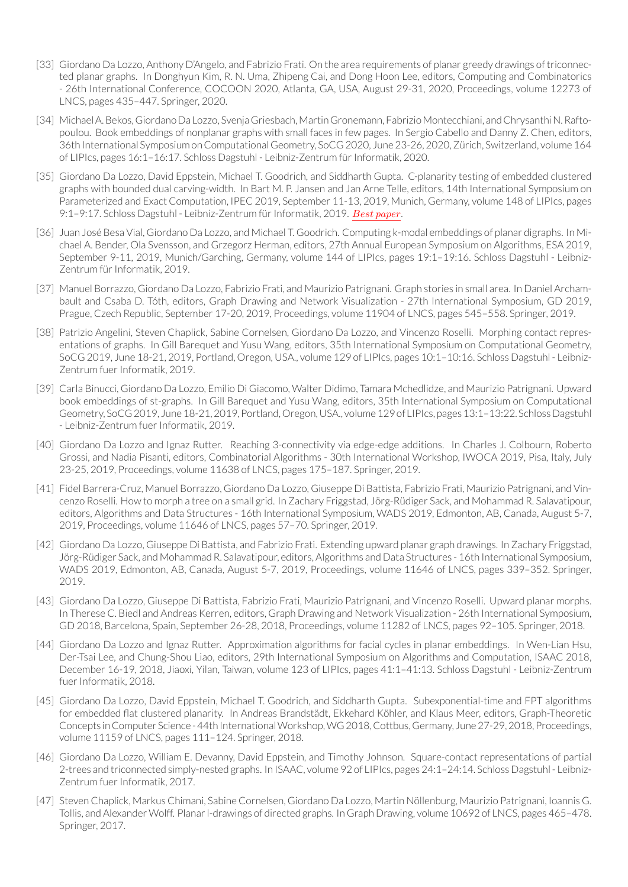- [33] Giordano Da Lozzo, Anthony D'Angelo, and Fabrizio Frati. On the area requirements of planar greedy drawings of triconnected planar graphs. In Donghyun Kim, R. N. Uma, Zhipeng Cai, and Dong Hoon Lee, editors, Computing and Combinatorics - 26th International Conference, COCOON 2020, Atlanta, GA, USA, August 29-31, 2020, Proceedings, volume 12273 of LNCS, pages 435–447. Springer, 2020.
- [34] MichaelA.Bekos,GiordanoDa Lozzo, SvenjaGriesbach,MartinGronemann, FabrizioMontecchiani, andChrysanthiN.Raftopoulou. Book embeddings of nonplanar graphs with small faces in few pages. In Sergio Cabello and Danny Z. Chen, editors, 36th International Symposiumon ComputationalGeometry, SoCG2020, June 23-26, 2020,Zürich, Switzerland, volume 164 of LIPIcs, pages 16:1-16:17. Schloss Dagstuhl - Leibniz-Zentrum für Informatik, 2020.
- [35] Giordano Da Lozzo, David Eppstein, Michael T. Goodrich, and Siddharth Gupta. C-planarity testing of embedded clustered graphs with bounded dual carving-width. In Bart M. P. Jansen and Jan Arne Telle, editors, 14th International Symposium on Parameterized and Exact Computation, IPEC 2019, September 11-13, 2019, Munich, Germany, volume 148 of LIPIcs, pages 9:1-9:17. Schloss Dagstuhl - Leibniz-Zentrum für Informatik, 2019. *Best paper*.
- [36] Juan José Besa Vial, Giordano Da Lozzo, and Michael T. Goodrich. Computing k-modal embeddings of planar digraphs. In Michael A. Bender, Ola Svensson, and Grzegorz Herman, editors, 27th Annual European Symposium on Algorithms, ESA 2019, September 9-11, 2019, Munich/Garching, Germany, volume 144 of LIPIcs, pages 19:1–19:16. Schloss Dagstuhl - Leibniz-Zentrum für Informatik, 2019.
- [37] Manuel Borrazzo, Giordano Da Lozzo, Fabrizio Frati, and Maurizio Patrignani. Graph stories in small area. In Daniel Archambault and Csaba D. Tóth, editors, Graph Drawing and Network Visualization - 27th International Symposium, GD 2019, Prague, Czech Republic, September 17-20, 2019, Proceedings, volume 11904 of LNCS, pages 545–558. Springer, 2019.
- [38] Patrizio Angelini, Steven Chaplick, Sabine Cornelsen, Giordano Da Lozzo, and Vincenzo Roselli. Morphing contact representations of graphs. In Gill Barequet and Yusu Wang, editors, 35th International Symposium on Computational Geometry, SoCG 2019, June 18-21, 2019, Portland, Oregon, USA., volume 129 of LIPIcs, pages 10:1–10:16. Schloss Dagstuhl - Leibniz-Zentrum fuer Informatik, 2019.
- [39] Carla Binucci, Giordano Da Lozzo, Emilio Di Giacomo, Walter Didimo, Tamara Mchedlidze, and Maurizio Patrignani. Upward book embeddings of st-graphs. In Gill Barequet and Yusu Wang, editors, 35th International Symposium on Computational Geometry, SoCG2019, June18-21,2019,Portland,Oregon,USA., volume129of LIPIcs, pages13:1–13:22. SchlossDagstuhl - Leibniz-Zentrum fuer Informatik, 2019.
- [40] Giordano Da Lozzo and Ignaz Rutter. Reaching 3-connectivity via edge-edge additions. In Charles J. Colbourn, Roberto Grossi, and Nadia Pisanti, editors, Combinatorial Algorithms - 30th International Workshop, IWOCA 2019, Pisa, Italy, July 23-25, 2019, Proceedings, volume 11638 of LNCS, pages 175–187. Springer, 2019.
- [41] Fidel Barrera-Cruz, Manuel Borrazzo, Giordano Da Lozzo, Giuseppe Di Battista, Fabrizio Frati, Maurizio Patrignani, and Vincenzo Roselli. How to morph a tree on a small grid. In Zachary Friggstad, Jörg-Rüdiger Sack, and Mohammad R. Salavatipour, editors, Algorithms and Data Structures - 16th International Symposium, WADS 2019, Edmonton, AB, Canada, August 5-7, 2019, Proceedings, volume 11646 of LNCS, pages 57–70. Springer, 2019.
- [42] Giordano Da Lozzo, Giuseppe Di Battista, and Fabrizio Frati. Extending upward planar graph drawings. In Zachary Friggstad, Jörg-Rüdiger Sack, and Mohammad R. Salavatipour, editors, Algorithms and Data Structures - 16th International Symposium, WADS 2019, Edmonton, AB, Canada, August 5-7, 2019, Proceedings, volume 11646 of LNCS, pages 339–352. Springer, 2019.
- [43] Giordano Da Lozzo, Giuseppe Di Battista, Fabrizio Frati, Maurizio Patrignani, and Vincenzo Roselli. Upward planar morphs. In Therese C. Biedl and Andreas Kerren, editors, Graph Drawing and Network Visualization - 26th International Symposium, GD 2018, Barcelona, Spain, September 26-28, 2018, Proceedings, volume 11282 of LNCS, pages 92–105. Springer, 2018.
- [44] Giordano Da Lozzo and Ignaz Rutter. Approximation algorithms for facial cycles in planar embeddings. In Wen-Lian Hsu, Der-Tsai Lee, and Chung-Shou Liao, editors, 29th International Symposium on Algorithms and Computation, ISAAC 2018, December 16-19, 2018, Jiaoxi, Yilan, Taiwan, volume 123 of LIPIcs, pages 41:1–41:13. Schloss Dagstuhl - Leibniz-Zentrum fuer Informatik, 2018.
- [45] Giordano Da Lozzo, David Eppstein, Michael T. Goodrich, and Siddharth Gupta. Subexponential-time and FPT algorithms for embedded flat clustered planarity. In Andreas Brandstädt, Ekkehard Köhler, and Klaus Meer, editors, Graph-Theoretic Concepts in Computer Science - 44th International Workshop, WG 2018, Cottbus, Germany, June 27-29, 2018, Proceedings, volume 11159 of LNCS, pages 111–124. Springer, 2018.
- [46] Giordano Da Lozzo, William E. Devanny, David Eppstein, and Timothy Johnson. Square-contact representations of partial 2-trees and triconnected simply-nested graphs. In ISAAC, volume 92 of LIPIcs, pages 24:1–24:14. Schloss Dagstuhl- Leibniz-Zentrum fuer Informatik, 2017.
- [47] Steven Chaplick, Markus Chimani, Sabine Cornelsen, Giordano Da Lozzo, Martin Nöllenburg, Maurizio Patrignani, Ioannis G. Tollis, and Alexander Wolff. Planarl-drawings of directed graphs. In Graph Drawing, volume 10692 of LNCS, pages 465–478. Springer, 2017.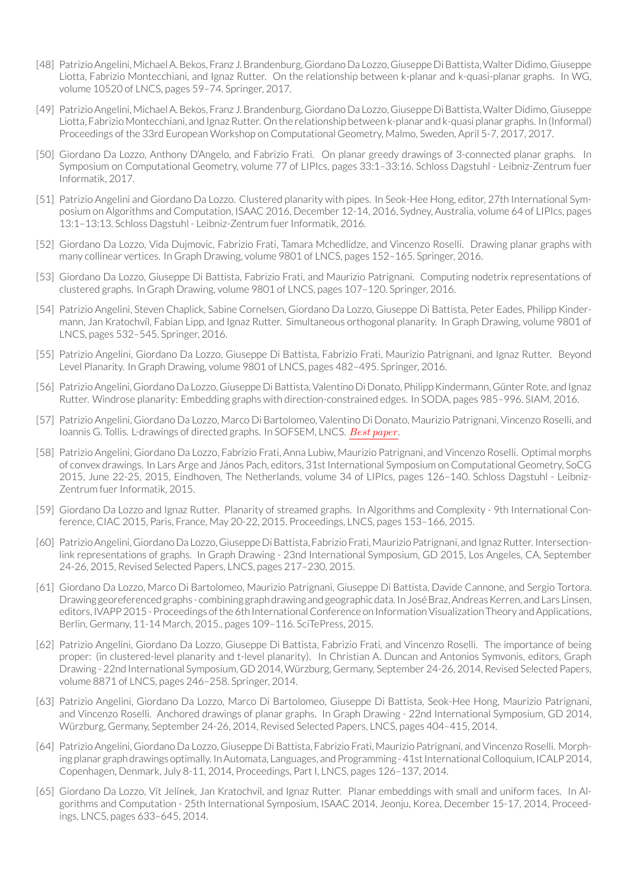- [48] PatrizioAngelini, MichaelA.Bekos, Franz J.Brandenburg, GiordanoDa Lozzo, GiuseppeDiBattista,WalterDidimo, Giuseppe Liotta, Fabrizio Montecchiani, and Ignaz Rutter. On the relationship between k-planar and k-quasi-planar graphs. In WG, volume 10520 of LNCS, pages 59–74. Springer, 2017.
- [49] PatrizioAngelini, MichaelA.Bekos, Franz J.Brandenburg, GiordanoDa Lozzo, GiuseppeDiBattista,WalterDidimo, Giuseppe Liotta, Fabrizio Montecchiani, and Ignaz Rutter. On the relationship between k-planar and k-quasi planar graphs. In (Informal) Proceedings of the 33rd European Workshop on Computational Geometry, Malmo, Sweden, April 5-7, 2017, 2017.
- [50] Giordano Da Lozzo, Anthony D'Angelo, and Fabrizio Frati. On planar greedy drawings of 3-connected planar graphs. In Symposium on Computational Geometry, volume 77 of LIPIcs, pages 33:1–33:16. Schloss Dagstuhl - Leibniz-Zentrum fuer Informatik, 2017.
- [51] Patrizio Angelini and Giordano Da Lozzo. Clustered planarity with pipes. In Seok-Hee Hong, editor, 27th International Symposium on Algorithms and Computation, ISAAC 2016, December 12-14, 2016, Sydney, Australia, volume 64 of LIPIcs, pages 13:1-13:13. Schloss Dagstuhl - Leibniz-Zentrum fuer Informatik, 2016.
- [52] Giordano Da Lozzo, Vida Dujmovic, Fabrizio Frati, Tamara Mchedlidze, and Vincenzo Roselli. Drawing planar graphs with many collinear vertices. In Graph Drawing, volume 9801 of LNCS, pages 152–165. Springer, 2016.
- [53] Giordano Da Lozzo, Giuseppe Di Battista, Fabrizio Frati, and Maurizio Patrignani. Computing nodetrix representations of clustered graphs. In Graph Drawing, volume 9801 of LNCS, pages 107–120. Springer, 2016.
- [54] Patrizio Angelini, Steven Chaplick, Sabine Cornelsen, Giordano Da Lozzo, Giuseppe Di Battista, Peter Eades, Philipp Kindermann, Jan Kratochvíl, Fabian Lipp, and Ignaz Rutter. Simultaneous orthogonal planarity. In Graph Drawing, volume 9801 of LNCS, pages 532–545. Springer, 2016.
- [55] Patrizio Angelini, Giordano Da Lozzo, Giuseppe Di Battista, Fabrizio Frati, Maurizio Patrignani, and Ignaz Rutter. Beyond Level Planarity. In Graph Drawing, volume 9801 of LNCS, pages 482–495. Springer, 2016.
- [56] PatrizioAngelini, Giordano Da Lozzo, Giuseppe DiBattista,Valentino Di Donato, PhilippKindermann, GünterRote, and Ignaz Rutter. Windrose planarity: Embedding graphs with direction-constrained edges. In SODA, pages 985–996. SIAM, 2016.
- [57] Patrizio Angelini, Giordano Da Lozzo, Marco Di Bartolomeo, Valentino Di Donato, Maurizio Patrignani, Vincenzo Roselli, and Ioannis G. Tollis. L-drawings of directed graphs. In SOFSEM, LNCS. *Best paper*.
- [58] Patrizio Angelini, Giordano Da Lozzo, Fabrizio Frati, Anna Lubiw, Maurizio Patrignani, and Vincenzo Roselli. Optimal morphs of convex drawings. In Lars Arge and János Pach, editors, 31st International Symposium on Computational Geometry, SoCG 2015, June 22-25, 2015, Eindhoven, The Netherlands, volume 34 of LIPIcs, pages 126–140. Schloss Dagstuhl - Leibniz-Zentrum fuer Informatik, 2015.
- [59] Giordano Da Lozzo and Ignaz Rutter. Planarity of streamed graphs. In Algorithms and Complexity 9th International Conference, CIAC 2015, Paris, France, May 20-22, 2015. Proceedings, LNCS, pages 153–166, 2015.
- [60] Patrizio Angelini, Giordano Da Lozzo, Giuseppe Di Battista, Fabrizio Frati, Maurizio Patrignani, and Ignaz Rutter. Intersectionlink representations of graphs. In Graph Drawing - 23nd International Symposium, GD 2015, Los Angeles, CA, September 24-26, 2015, Revised Selected Papers, LNCS, pages 217–230, 2015.
- [61] Giordano Da Lozzo, Marco Di Bartolomeo, Maurizio Patrignani, Giuseppe Di Battista, Davide Cannone, and Sergio Tortora. Drawing georeferencedgraphs - combining graphdrawing andgeographicdata. InJoséBraz,AndreasKerren, andLars Linsen, editors, IVAPP 2015 - Proceedings of the 6th International Conference on Information Visualization Theory and Applications, Berlin, Germany, 11-14 March, 2015., pages 109–116. SciTePress, 2015.
- [62] Patrizio Angelini, Giordano Da Lozzo, Giuseppe Di Battista, Fabrizio Frati, and Vincenzo Roselli. The importance of being proper: (in clustered-level planarity and t-level planarity). In Christian A. Duncan and Antonios Symvonis, editors, Graph Drawing - 22nd International Symposium, GD 2014, Würzburg, Germany, September 24-26, 2014, Revised Selected Papers, volume 8871 of LNCS, pages 246–258. Springer, 2014.
- [63] Patrizio Angelini, Giordano Da Lozzo, Marco Di Bartolomeo, Giuseppe Di Battista, Seok-Hee Hong, Maurizio Patrignani, and Vincenzo Roselli. Anchored drawings of planar graphs. In Graph Drawing - 22nd International Symposium, GD 2014, Würzburg, Germany, September 24-26, 2014, Revised Selected Papers, LNCS, pages 404–415, 2014.
- [64] Patrizio Angelini, Giordano Da Lozzo, Giuseppe Di Battista, Fabrizio Frati, Maurizio Patrignani, and Vincenzo Roselli. Morphing planar graph drawings optimally. In Automata, Languages, and Programming - 41st International Colloquium, ICALP 2014, Copenhagen, Denmark, July 8-11, 2014, Proceedings, Part I, LNCS, pages 126–137, 2014.
- [65] Giordano Da Lozzo, Vít Jelínek, Jan Kratochvíl, and Ignaz Rutter. Planar embeddings with small and uniform faces. In Algorithms and Computation - 25th International Symposium, ISAAC 2014, Jeonju, Korea, December 15-17, 2014, Proceedings, LNCS, pages 633–645, 2014.